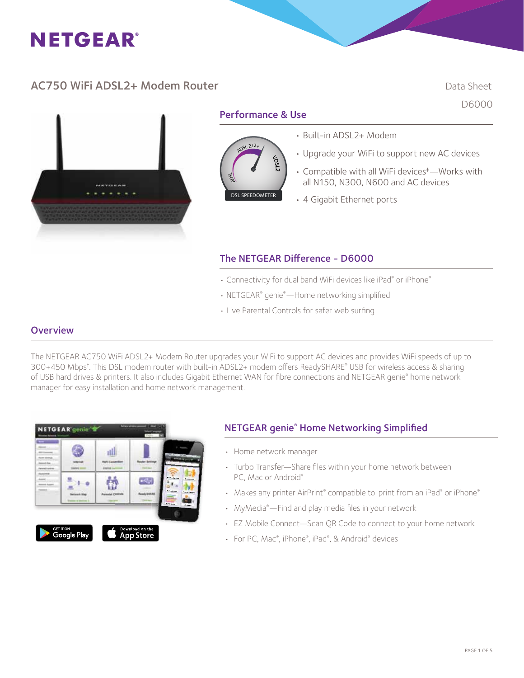

# AC750 WiFi ADSL2+ Modem Router **Data Sheet** Data Sheet

D6000

**PERSONAL** 

# Performance & Use



#### • Built-in ADSL2+ Modem

- Upgrade your WiFi to support new AC devices
- Compatible with all WiFi devices‡ —Works with all N150, N300, N600 and AC devices
- 4 Gigabit Ethernet ports

# The NETGEAR Difference - D6000

- Connectivity for dual band WiFi devices like iPad® or iPhone®
- NETGEAR® genie®—Home networking simplified
- Live Parental Controls for safer web surfing

### **Overview**

The NETGEAR AC750 WiFi ADSL2+ Modem Router upgrades your WiFi to support AC devices and provides WiFi speeds of up to 300+450 Mbps† . This DSL modem router with built-in ADSL2+ modem offers ReadySHARE® USB for wireless access & sharing of USB hard drives & printers. It also includes Gigabit Ethernet WAN for fibre connections and NETGEAR genie® home network manager for easy installation and home network management.



# NETGEAR genie® Home Networking Simplified

- Home network manager
- Turbo Transfer—Share files within your home network between PC, Mac or Android®
- Makes any printer AirPrint® compatible to print from an iPad® or iPhone®
- MyMedia® —Find and play media files in your network
- EZ Mobile Connect—Scan QR Code to connect to your home network
- For PC, Mac®, iPhone®, iPad®, & Android® devices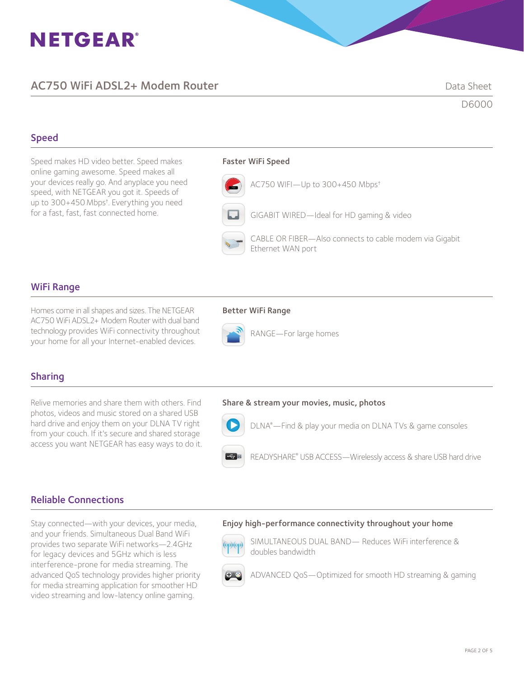# **NETGEAR®**

# AC750 WiFi ADSL2+ Modem Router **Data Sheet** Data Sheet

D6000

## Speed

Speed makes HD video better. Speed makes online gaming awesome. Speed makes all your devices really go. And anyplace you need speed, with NETGEAR you got it. Speeds of up to 300+450Mbps† . Everything you need for a fast, fast, fast connected home.

#### Faster WiFi Speed



GIGABIT WIRED—Ideal for HD gaming & video



 CABLE OR FIBER—Also connects to cable modem via Gigabit Ethernet WAN port

### WiFi Range

Homes come in all shapes and sizes. The NETGEAR **Better WiFi Range** AC750 WiFi ADSL2+ Modem Router with dual band technology provides WiFi connectivity throughout your home for all your Internet-enabled devices.



RANGE—For large homes

# Sharing

Relive memories and share them with others. Find photos, videos and music stored on a shared USB hard drive and enjoy them on your DLNA TV right from your couch. If it's secure and shared storage access you want NETGEAR has easy ways to do it.

#### Share & stream your movies, music, photos



**DENA®**—Find & play your media on DLNA TVs & game consoles

**READYSHARE®** USB ACCESS—Wirelessly access & share USB hard drive

### Reliable Connections

Stay connected—with your devices, your media, and your friends. Simultaneous Dual Band WiFi provides two separate WiFi networks—2.4GHz for legacy devices and 5GHz which is less interference-prone for media streaming. The advanced QoS technology provides higher priority for media streaming application for smoother HD video streaming and low-latency online gaming.

#### Enjoy high-performance connectivity throughout your home



 SIMULTANEOUS DUAL BAND— Reduces WiFi interference & doubles bandwidth



ADVANCED QoS—Optimized for smooth HD streaming & gaming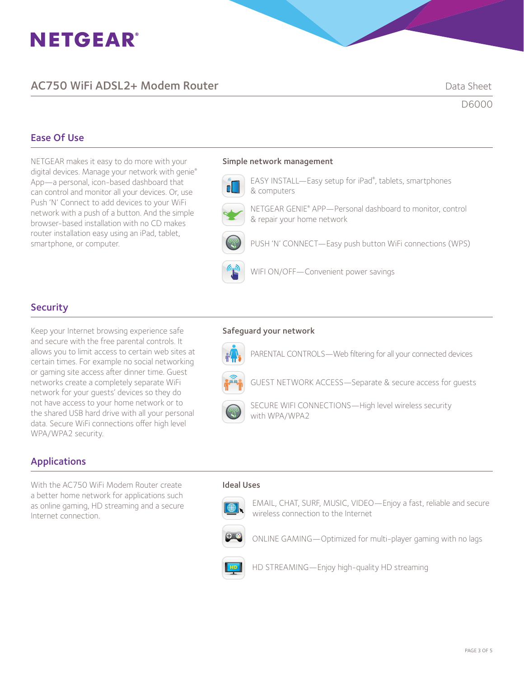# **NETGEAR®**

# AC750 WiFi ADSL2+ Modem Router **Data Sheet** Data Sheet

D6000

# Ease Of Use

NETGEAR makes it easy to do more with your digital devices. Manage your network with genie® App—a personal, icon-based dashboard that can control and monitor all your devices. Or, use Push 'N' Connect to add devices to your WiFi network with a push of a button. And the simple browser-based installation with no CD makes router installation easy using an iPad, tablet, smartphone, or computer.

#### Simple network management



**EASY INSTALL—Easy setup for iPad®**, tablets, smartphones & computers



NETGEAR GENIE® APP—Personal dashboard to monitor, control & repair your home network

PUSH 'N' CONNECT—Easy push button WiFi connections (WPS)



WIFI ON/OFF—Convenient power savings

# **Security**

Keep your Internet browsing experience safe and secure with the free parental controls. It allows you to limit access to certain web sites at certain times. For example no social networking or gaming site access after dinner time. Guest networks create a completely separate WiFi network for your guests' devices so they do not have access to your home network or to the shared USB hard drive with all your personal data. Secure WiFi connections offer high level WPA/WPA2 security.

### Safeguard your network



PARENTAL CONTROLS—Web filtering for all your connected devices



GUEST NETWORK ACCESS—Separate & secure access for guests



 SECURE WIFI CONNECTIONS—High level wireless security with WPA/WPA2

# Applications

With the AC750 WiFi Modem Router create a better home network for applications such as online gaming, HD streaming and a secure Internet connection.

#### Ideal Uses



EMAIL, CHAT, SURF, MUSIC, VIDEO—Enjoy a fast, reliable and secure wireless connection to the Internet



ONLINE GAMING—Optimized for multi-player gaming with no lags



HD STREAMING—Enjoy high-quality HD streaming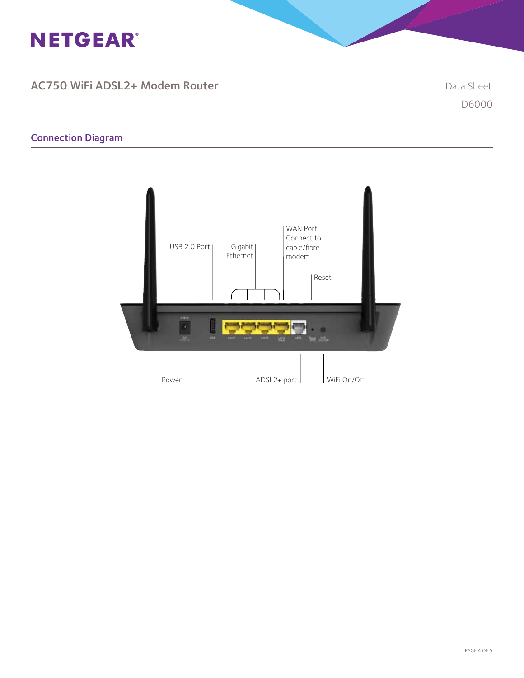

# AC750 WiFi ADSL2+ Modem Router National Sheet Data Sheet

# Connection Diagram



D6000